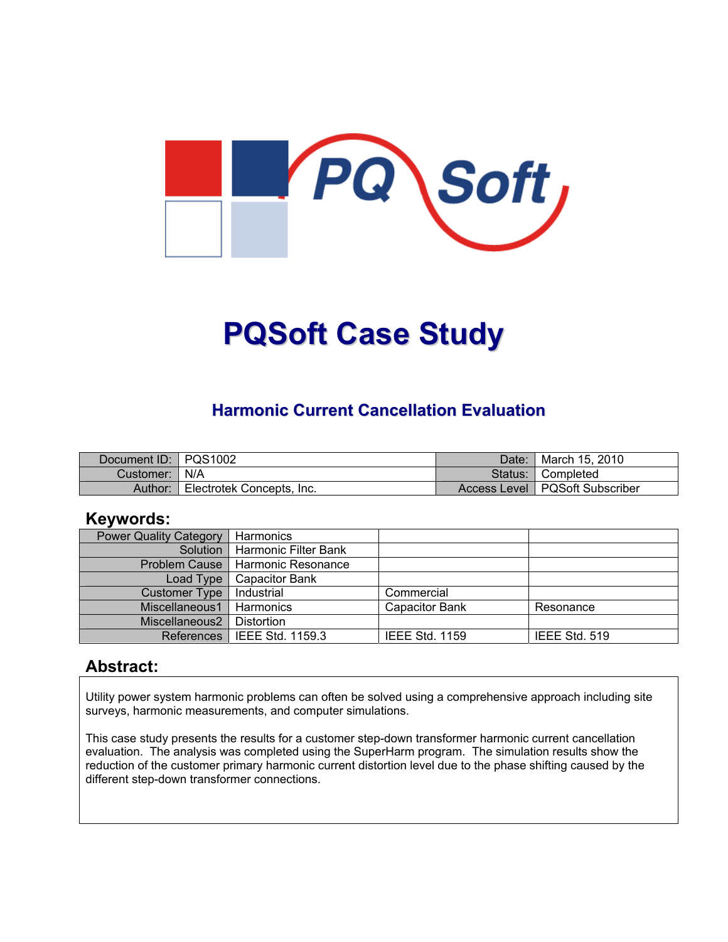

# **PQSoft Case Study**

#### **Harmonic Current Cancellation Evaluation**

| Document ID: PQS1002 |                           | Date:     | <sup>¶</sup> March 15, 2010      |
|----------------------|---------------------------|-----------|----------------------------------|
| Customer:   N/A      |                           | Status: I | <b>■ Completed</b>               |
| Author:              | Electrotek Concepts, Inc. |           | Access Level   PQSoft Subscriber |

#### **Keywords:**

| <b>Power Quality Category</b> | Harmonics                     |                       |               |
|-------------------------------|-------------------------------|-----------------------|---------------|
| Solution                      | Harmonic Filter Bank          |                       |               |
| <b>Problem Cause</b>          | l Harmonic Resonance          |                       |               |
| Load Type                     | <b>Capacitor Bank</b>         |                       |               |
| <b>Customer Type</b>          | Industrial                    | Commercial            |               |
| Miscellaneous1                | Harmonics                     | <b>Capacitor Bank</b> | Resonance     |
| Miscellaneous2                | Distortion                    |                       |               |
|                               | References   IEEE Std. 1159.3 | <b>IEEE Std. 1159</b> | IEEE Std. 519 |

#### **Abstract:**

Utility power system harmonic problems can often be solved using a comprehensive approach including site surveys, harmonic measurements, and computer simulations.

This case study presents the results for a customer step-down transformer harmonic current cancellation evaluation. The analysis was completed using the SuperHarm program. The simulation results show the reduction of the customer primary harmonic current distortion level due to the phase shifting caused by the different step-down transformer connections.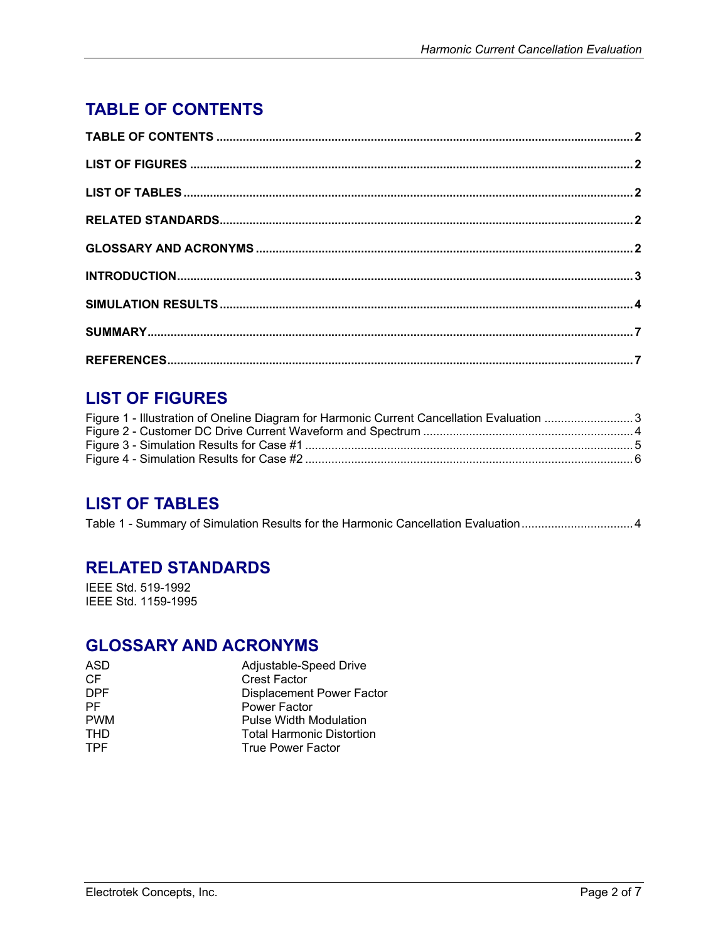# <span id="page-1-0"></span>**TABLE OF CONTENTS**

## **LIST OF FIGURES**

| Figure 1 - Illustration of Oneline Diagram for Harmonic Current Cancellation Evaluation 3 |  |
|-------------------------------------------------------------------------------------------|--|
|                                                                                           |  |
|                                                                                           |  |
|                                                                                           |  |

#### **LIST OF TABLES**

| Table 1 - Summary of Simulation Results for the Harmonic Cancellation Evaluation 4 |
|------------------------------------------------------------------------------------|
|------------------------------------------------------------------------------------|

#### **RELATED STANDARDS**

IEEE Std. 519-1992 IEEE Std. 1159-1995

#### **GLOSSARY AND ACRONYMS**

| <b>Crest Factor</b><br>CF<br><b>DPF</b><br>Power Factor<br>РF<br><b>PWM</b><br><b>Pulse Width Modulation</b><br>THD<br><b>Total Harmonic Distortion</b><br><b>TPF</b><br><b>True Power Factor</b> | ASD | Adjustable-Speed Drive           |
|---------------------------------------------------------------------------------------------------------------------------------------------------------------------------------------------------|-----|----------------------------------|
|                                                                                                                                                                                                   |     |                                  |
|                                                                                                                                                                                                   |     | <b>Displacement Power Factor</b> |
|                                                                                                                                                                                                   |     |                                  |
|                                                                                                                                                                                                   |     |                                  |
|                                                                                                                                                                                                   |     |                                  |
|                                                                                                                                                                                                   |     |                                  |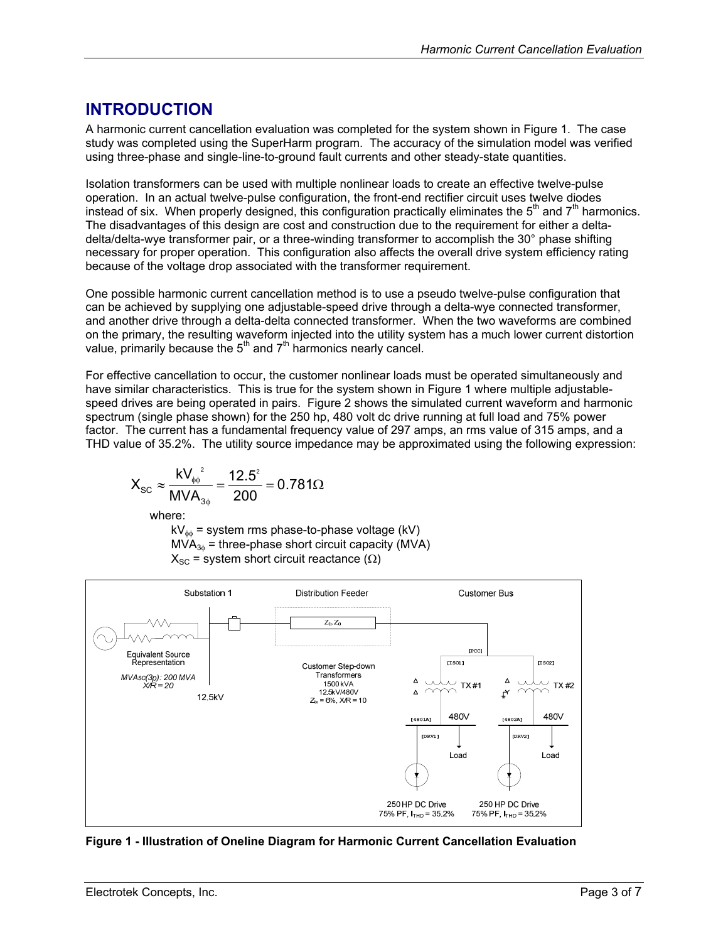## <span id="page-2-0"></span>**INTRODUCTION**

A harmonic current cancellation evaluation was completed for the system shown in [Figure 1.](#page-2-1) The case study was completed using the SuperHarm program. The accuracy of the simulation model was verified using three-phase and single-line-to-ground fault currents and other steady-state quantities.

Isolation transformers can be used with multiple nonlinear loads to create an effective twelve-pulse operation. In an actual twelve-pulse configuration, the front-end rectifier circuit uses twelve diodes instead of six. When properly designed, this configuration practically eliminates the  $5<sup>th</sup>$  and  $7<sup>th</sup>$  harmonics. The disadvantages of this design are cost and construction due to the requirement for either a deltadelta/delta-wye transformer pair, or a three-winding transformer to accomplish the 30° phase shifting necessary for proper operation. This configuration also affects the overall drive system efficiency rating because of the voltage drop associated with the transformer requirement.

One possible harmonic current cancellation method is to use a pseudo twelve-pulse configuration that can be achieved by supplying one adjustable-speed drive through a delta-wye connected transformer, and another drive through a delta-delta connected transformer. When the two waveforms are combined on the primary, the resulting waveform injected into the utility system has a much lower current distortion value, primarily because the  $5<sup>th</sup>$  and  $7<sup>th</sup>$  harmonics nearly cancel.

For effective cancellation to occur, the customer nonlinear loads must be operated simultaneously and have similar characteristics. This is true for the system shown in [Figure 1](#page-2-1) where multiple adjustablespeed drives are being operated in pairs. [Figure 2](#page-3-1) shows the simulated current waveform and harmonic spectrum (single phase shown) for the 250 hp, 480 volt dc drive running at full load and 75% power factor. The current has a fundamental frequency value of 297 amps, an rms value of 315 amps, and a THD value of 35.2%. The utility source impedance may be approximated using the following expression:

$$
X_{\textrm{SC}} \approx \frac{k V_{\phi\phi}^2}{M V A_{3\phi}} = \frac{12.5^2}{200} = 0.781 \Omega
$$

where:

 $kV_{\phi\phi}$  = system rms phase-to-phase voltage (kV)  $MVA<sub>3φ</sub>$  = three-phase short circuit capacity (MVA)  $X_{SC}$  = system short circuit reactance ( $\Omega$ )

<span id="page-2-1"></span>

**Figure 1 - Illustration of Oneline Diagram for Harmonic Current Cancellation Evaluation**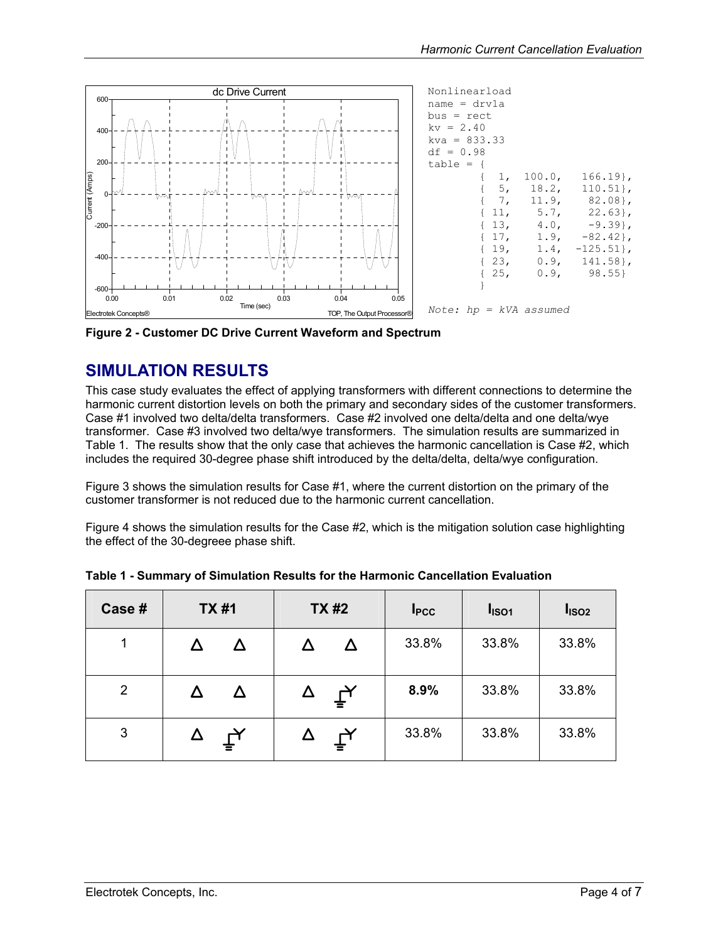<span id="page-3-0"></span>

<span id="page-3-1"></span>**Figure 2 - Customer DC Drive Current Waveform and Spectrum** 

#### **SIMULATION RESULTS**

This case study evaluates the effect of applying transformers with different connections to determine the harmonic current distortion levels on both the primary and secondary sides of the customer transformers. Case #1 involved two delta/delta transformers. Case #2 involved one delta/delta and one delta/wye transformer. Case #3 involved two delta/wye transformers. The simulation results are summarized in [Table 1.](#page-3-2) The results show that the only case that achieves the harmonic cancellation is Case #2, which includes the required 30-degree phase shift introduced by the delta/delta, delta/wye configuration.

[Figure 3](#page-4-1) shows the simulation results for Case #1, where the current distortion on the primary of the customer transformer is not reduced due to the harmonic current cancellation.

[Figure 4](#page-5-1) shows the simulation results for the Case #2, which is the mitigation solution case highlighting the effect of the 30-degreee phase shift.

| Case #         | <b>TX#1</b>                           | <b>TX#2</b>           | I <sub>PCC</sub> | I <sub>ISO1</sub> | I <sub>ISO2</sub> |
|----------------|---------------------------------------|-----------------------|------------------|-------------------|-------------------|
| $\mathbf{1}$   |                                       |                       | 33.8%            | 33.8%             | 33.8%             |
| $\overline{2}$ |                                       | $\bm{\breve{\Gamma}}$ | 8.9%             | 33.8%             | 33.8%             |
| 3              | $\bar{\mathsf{t}}_{\mathsf{\lambda}}$ | $\bm{\mathsf{L}}$     | 33.8%            | 33.8%             | 33.8%             |

<span id="page-3-2"></span>**Table 1 - Summary of Simulation Results for the Harmonic Cancellation Evaluation**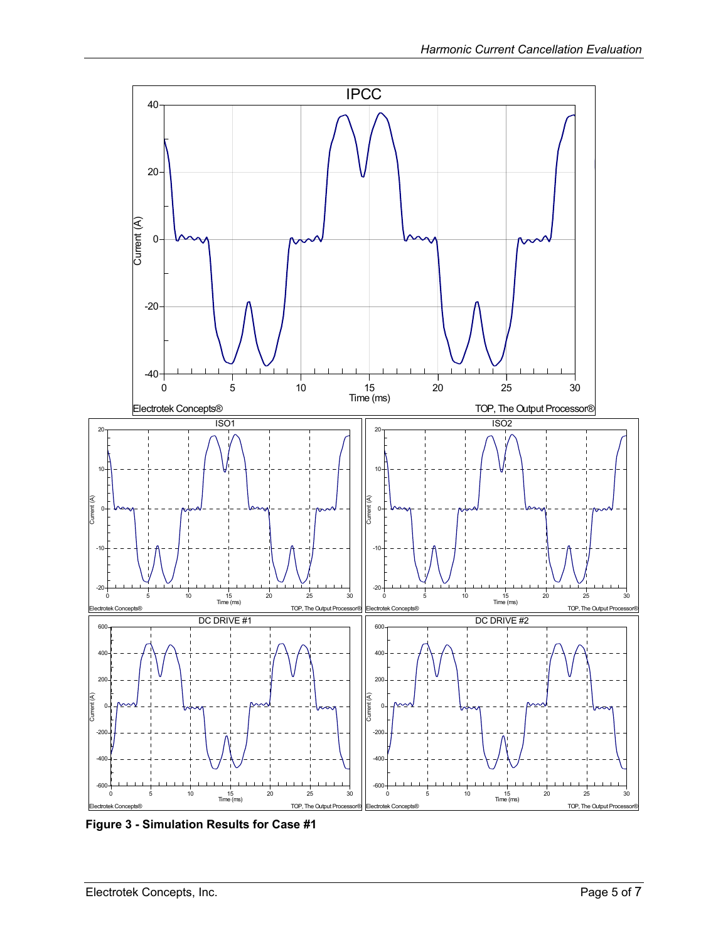<span id="page-4-0"></span>

<span id="page-4-1"></span>**Figure 3 - Simulation Results for Case #1**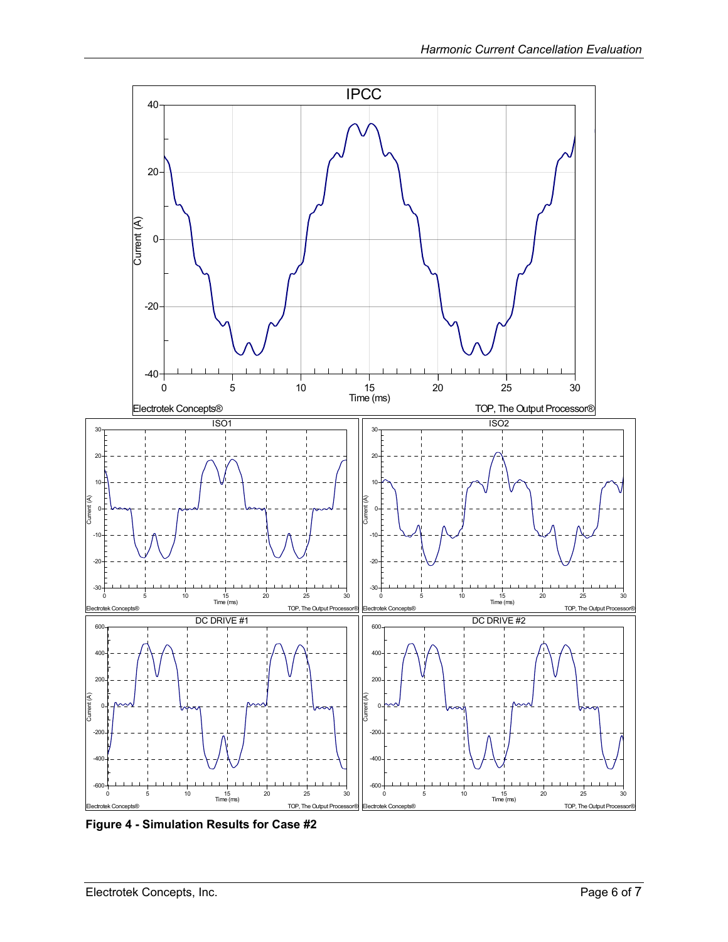<span id="page-5-0"></span>

<span id="page-5-1"></span>**Figure 4 - Simulation Results for Case #2**